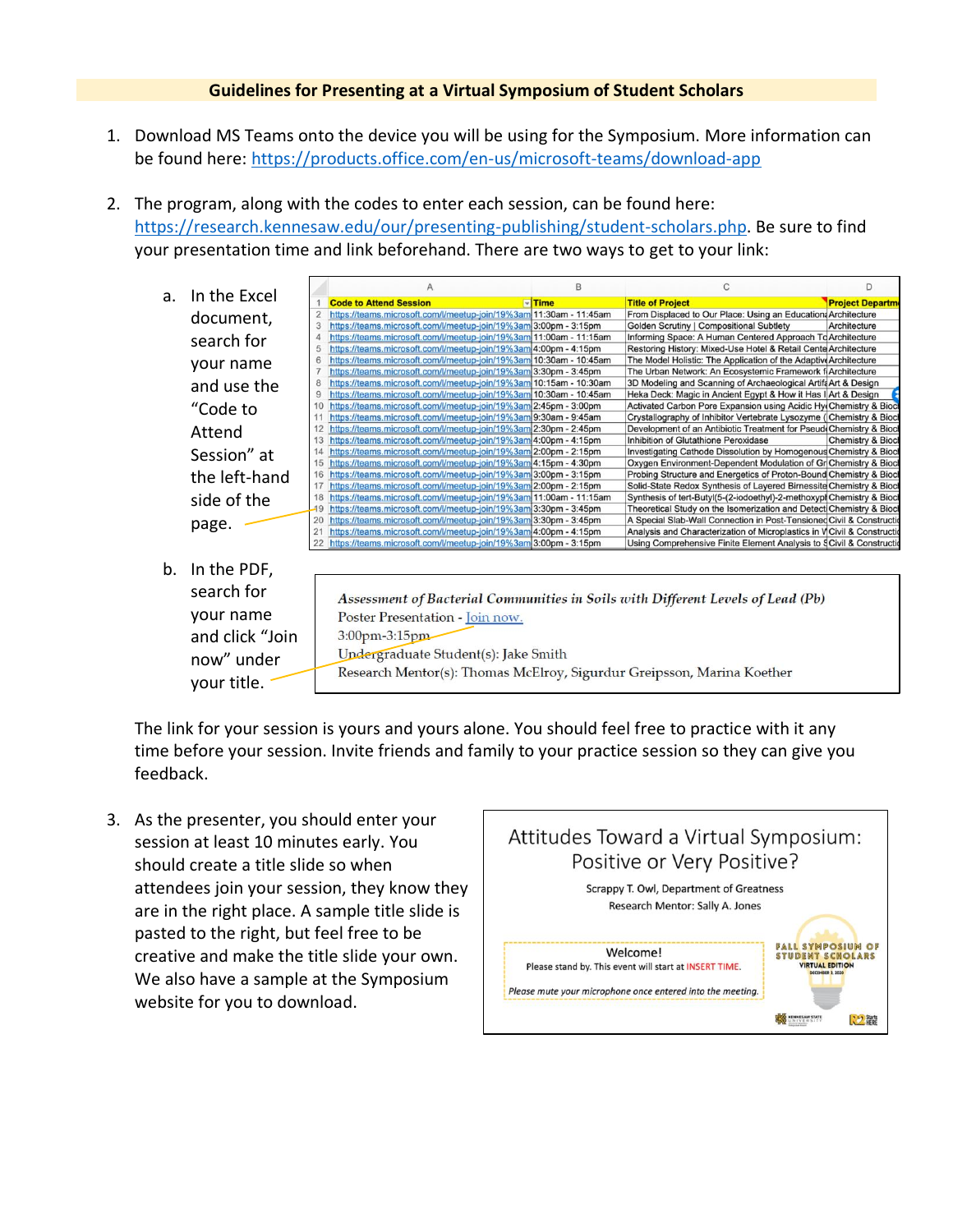## **Guidelines for Presenting at a Virtual Symposium of Student Scholars**

- 1. Download MS Teams onto the device you will be using for the Symposium. More information can be found here:<https://products.office.com/en-us/microsoft-teams/download-app>
- 2. The program, along with the codes to enter each session, can be found here: [https://research.kennesaw.edu/our/presenting-publishing/student-scholars.php.](https://research.kennesaw.edu/our/presenting-publishing/student-scholars.php) Be sure to find your presentation time and link beforehand. There are two ways to get to your link:
	- n. a. In the Excel  $\blacksquare$ Time **Code to Attend Session Title of Project** ct Depa https://teams.microsoft.com/l/meetup-join/19%3am 11:30am - 11:45am From Displaced to Our Place: Using an Education Architecture document, https://teams.microsoft.com/l/meetup-join/19%3am 3:00pm - 3:15pm **Golden Scrutiny | Compositional Subtlety** Architecture https://teams.microsoft.com/l/meetup-join/19%3am 11:00am - 11:15am Informing Space: A Human Centered Approach To Architecture search for https://teams.microsoft.com/l/meetup-join/19%3am 4:00pm - 4:15pm Restoring History: Mixed-Use Hotel & Retail Cente Architecture https://teams.microsoft.com/l/meetup-join/19%3am 10:30am - 10:45am The Model Holistic: The Application of the Adaptive Architecture your name https://teams.microsoft.com/l/meetup-join/19%3am 3:30pm - 3:45pm The Urban Network: An Ecosystemic Framework f(Architecture https://teams.microsoft.com/l/meetup-join/19%3am 10:15am - 10:30am 3D Modeling and Scanning of Archaeological Artifa Art & Design and use the https://teams.microsoft.com/l/meetup-join/19%3am 10:30am - 10:45am Heka Deck: Magic in Ancient Egypt & How it Has I Art & Design  $10$ https://teams.microsoft.com/l/meetup-join/19%3am 2:45pm - 3:00pm Activated Carbon Pore Expansion using Acidic Hy Chemistry & Biod "Code to https://teams.microsoft.com/l/meetup-join/19%3am 9:30am - 9:45am Crystallography of Inhibitor Vertebrate Lysozyme (Chemistry & Biod 12 https://teams.microsoft.com/l/meetup-join/19%3am 2:30pm - 2:45pm Attend Development of an Antibiotic Treatment for Pseud Chemistry & Biod 13 https://teams.microsoft.com/l/meetup-join/19%3am 4:00pm - 4:15pm Inhibition of Glutathione Peroxidase Chemistry & Bioc Session" at https://teams.microsoft.com/l/meetup-join/19%3am 2:00pm - 2:15pm Investigating Cathode Dissolution by Homogenous Chemistry & Biod 15 https://teams.microsoft.com/l/meetup-join/19%3am 4:15pm - 4:30pm Oxygen Environment-Dependent Modulation of Gr Chemistry & Bioc the left-hand 16 https://teams.microsoft.com/l/meetup-join/19%3am 3:00pm - 3:15pm Probing Structure and Energetics of Proton-Bound Chemistry & Bioc Solid-State Redox Synthesis of Lavered Birnessite Chemistry & Bioc https://teams.microsoft.com/l/meetup-join/19%3am 2:00pm - 2:15pm https://teams.microsoft.com/l/meetup-join/19%3am 11:00am - 11:15am Synthesis of tert-Butyl(5-(2-iodoethyl)-2-methoxypi Chemistry & Bioc side of the  $19$ https://teams.microsoft.com/l/meetup-join/19%3am 3:30pm - 3:45pm Theoretical Study on the Isomerization and Detect Chemistry & Biod A Special Slab-Wall Connection in Post-Tensioned Civil & Constructionally Sistem Analysis and Characterization of Microplastics in V Civil & Construction 20 https://teams.microsoft.com/l/meetup-join/19%3am 3:30pm - 3:45pm page. - $21$ https://teams.microsoft.com/l/meetup-join/19%3am 4:00pm - 4:15pm https://teams.microsoft.com/l/meetup-join/19%3am 3:00pm - 3:15pm Using Comprehensive Finite Element Analysis to §Civil & Construction b. In the PDF, search for Assessment of Bacterial Communities in Soils with Different Levels of Lead (Pb) your name Poster Presentation - Join now. and click "Join 3:00pm-3:15pm Undergraduate Student(s): Jake Smith now" under Research Mentor(s): Thomas McElroy, Sigurdur Greipsson, Marina Koether your title.

The link for your session is yours and yours alone. You should feel free to practice with it any time before your session. Invite friends and family to your practice session so they can give you feedback.

3. As the presenter, you should enter your session at least 10 minutes early. You should create a title slide so when attendees join your session, they know they are in the right place. A sample title slide is pasted to the right, but feel free to be creative and make the title slide your own. We also have a sample at the Symposium website for you to download.

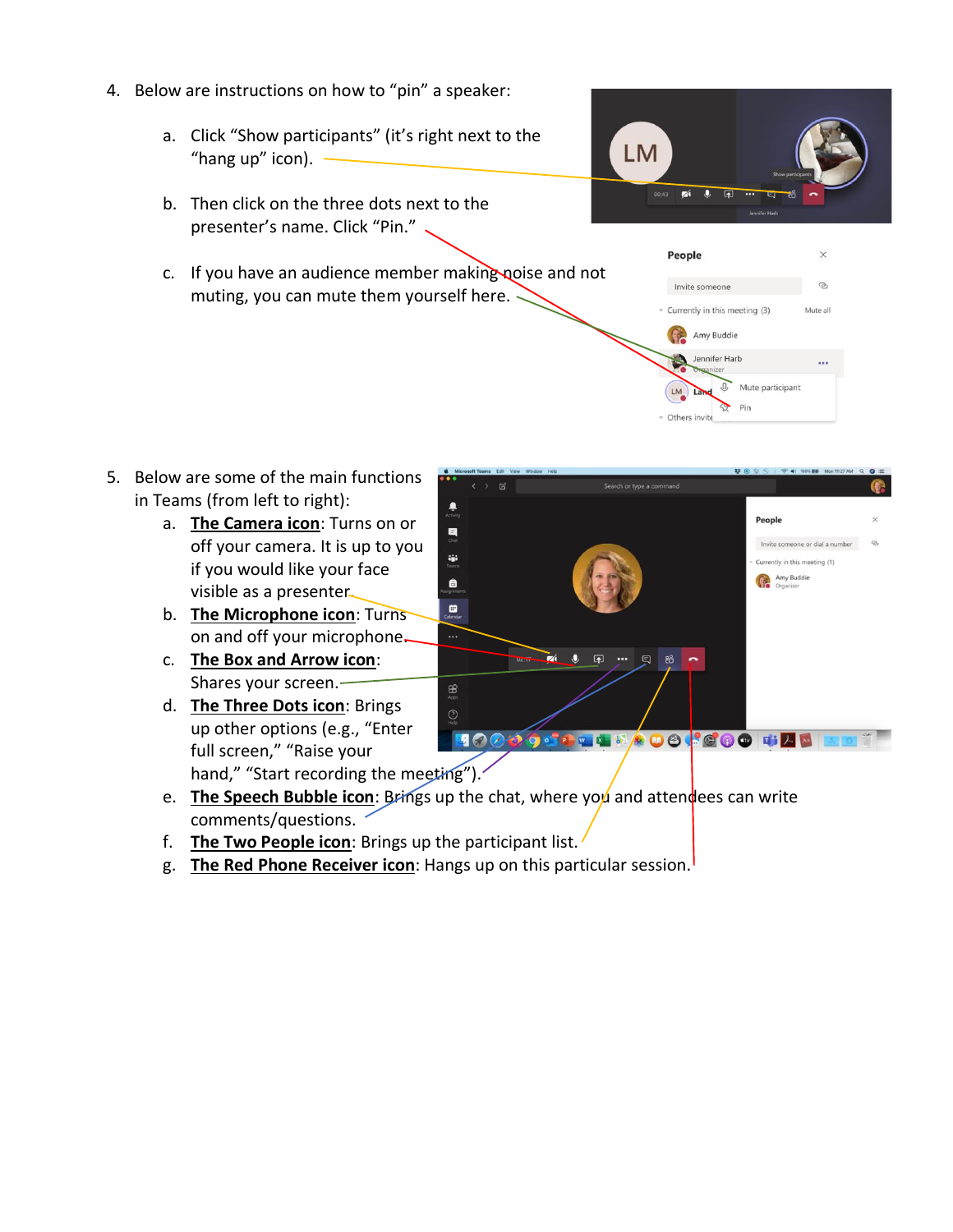- 4. Below are instructions on how to "pin" a speaker:
	- a. Click "Show participants" (it's right next to the "hang up" icon).  $-$
	- b. Then click on the three dots next to the presenter's name. Click "Pin."
	- c. If you have an audience member making noise and not muting, you can mute them yourself here.



Currently in this meeting (3) Amy Buddie Jennifer Harb

Others invite

Mute participant

Pin



- a. **The Camera icon**: Turns on or off your camera. It is up to you if you would like your face visible as a presenter.
- b. **The Microphone icon**: Turns on and off your microphone.
- c. **The Box and Arrow icon**: Shares your screen.
- d. **The Three Dots icon**: Brings up other options (e.g., "Enter full screen," "Raise your hand," "Start recording the meeting").



- e. **The Speech Bubble icon**: Brings up the chat, where you and atten dees can write comments/questions.
- f. **The Two People icon**: Brings up the participant list.
- g. **The Red Phone Receiver icon**: Hangs up on this particular session.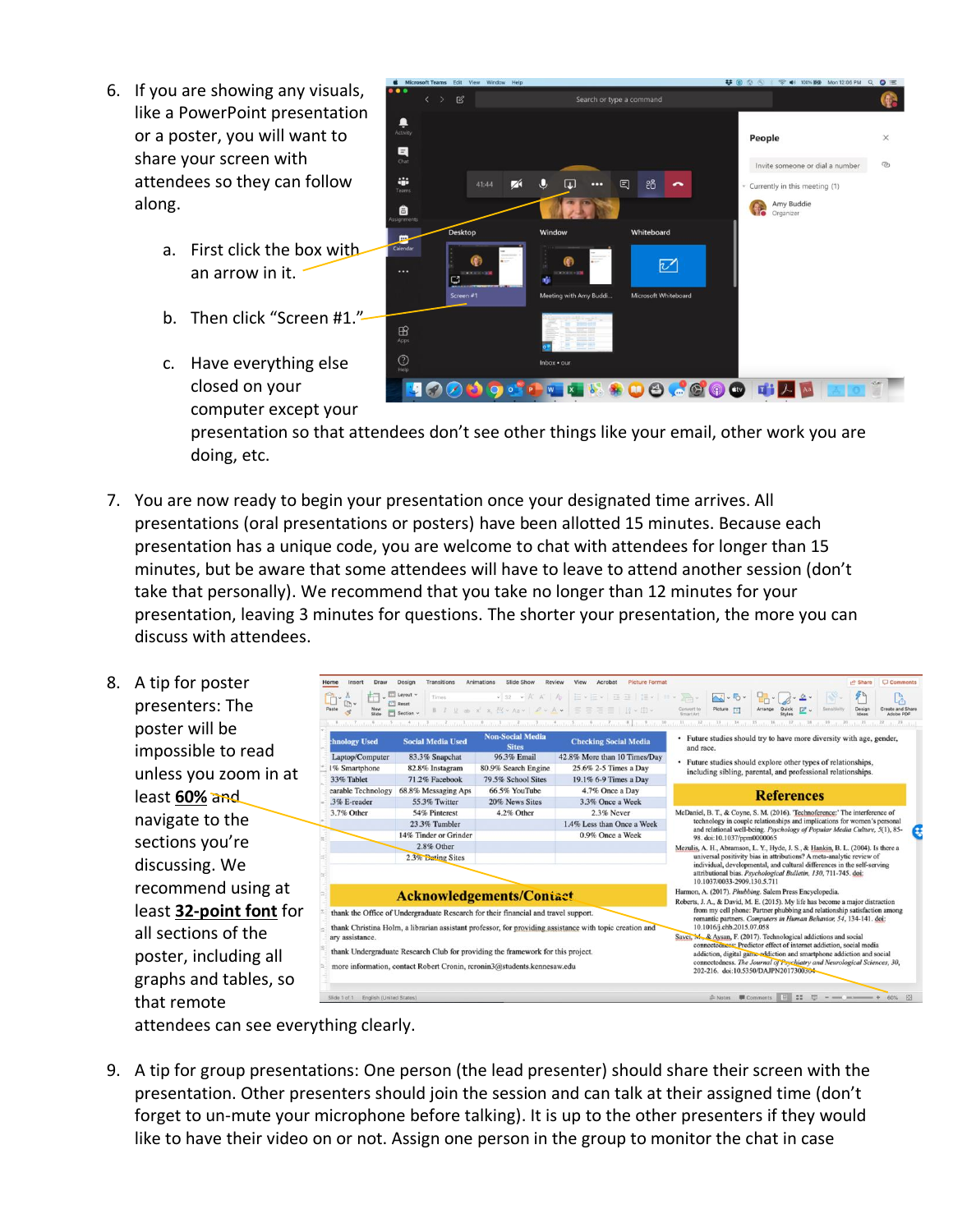- 6. If you are showing any visuals, like a PowerPoint presentation or a poster, you will want to share your screen with attendees so they can follow along.
	- a. First click the box with an arrow in it.
	- b. Then click "Screen #1."-
	- c. Have everything else closed on your computer except your



presentation so that attendees don't see other things like your email, other work you are doing, etc.

- 7. You are now ready to begin your presentation once your designated time arrives. All presentations (oral presentations or posters) have been allotted 15 minutes. Because each presentation has a unique code, you are welcome to chat with attendees for longer than 15 minutes, but be aware that some attendees will have to leave to attend another session (don't take that personally). We recommend that you take no longer than 12 minutes for your presentation, leaving 3 minutes for questions. The shorter your presentation, the more you can discuss with attendees.
- 8. A tip for pos presenters: poster will b  $impossible$  to unless you zo least 60% and navigate to sections you discussing. \ recommend least 32-poil all sections poster, inclu graphs and that remote

| ster        | Draw<br>Insert<br>lome                                                                                                                                                                                                                                                                                                                                                         | Transitions<br>Design                               | Slide Show<br>Animations<br>Review | Acrobat<br><b>Picture Format</b><br>View                                                                                            | C Comments<br>A Share                                                                                                                                                                                                   |  |  |
|-------------|--------------------------------------------------------------------------------------------------------------------------------------------------------------------------------------------------------------------------------------------------------------------------------------------------------------------------------------------------------------------------------|-----------------------------------------------------|------------------------------------|-------------------------------------------------------------------------------------------------------------------------------------|-------------------------------------------------------------------------------------------------------------------------------------------------------------------------------------------------------------------------|--|--|
| The         | ħ.<br>In.<br>Paste<br>3                                                                                                                                                                                                                                                                                                                                                        | $\Box$ Layout $\sim$<br>Times<br>Reset<br>Section v |                                    | v 32 v A A   A   田 - 田 -   田 亜   旭 -   田 - 全<br>B J U ab x' x, AY > Aa >   $\mathcal{L} \times \mathbf{A}$ >   三 三 三 三   11 × (E) > | $\sim$<br>$\mathcal{L}_{\mathcal{L}}$<br>Picture [A]<br>Arrange<br>Design<br>Convert to<br>SmartArt<br>Quick<br>Styles<br>$\mathbb{Z}$<br>Sensitivity<br>Create and Share<br>Ideas<br>Adobe PDF                         |  |  |
| эe          |                                                                                                                                                                                                                                                                                                                                                                                |                                                     | <b>Non-Social Media</b>            | Landina dia mkoa dia mahampiasa kaominina mpikambana kaominina mpikambana amin'ny fivondronan-kaominin'i Paris                      | 11, 12, 22<br>11<br>14<br>1516<br>37.<br>1. 想 3. 想 3. 2. 1. 2. 1. 2. 1. 2.<br>1.14<br>• Future studies should try to have more diversity with age, gender,                                                              |  |  |
|             | <b>hnology Used</b>                                                                                                                                                                                                                                                                                                                                                            | <b>Social Media Used</b>                            | <b>Sites</b>                       | <b>Checking Social Media</b>                                                                                                        | and race.                                                                                                                                                                                                               |  |  |
| to read     | Laptop/Computer                                                                                                                                                                                                                                                                                                                                                                | 83.3% Snapchat                                      | 96.3% Email                        | 42.8% More than 10 Times/Day                                                                                                        | • Future studies should explore other types of relationships,                                                                                                                                                           |  |  |
| oom in at!  | 1% Smartphone                                                                                                                                                                                                                                                                                                                                                                  | 82.8% Instagram                                     | 80.9% Search Engine                | 25.6% 2-5 Times a Day                                                                                                               | including sibling, parental, and professional relationships.                                                                                                                                                            |  |  |
|             | 33% Tablet                                                                                                                                                                                                                                                                                                                                                                     | 71.2% Facebook                                      | 79.5% School Sites                 | 19.1% 6-9 Times a Day                                                                                                               |                                                                                                                                                                                                                         |  |  |
| ٩d          | earable Technology                                                                                                                                                                                                                                                                                                                                                             | 68.8% Messaging Aps                                 | 66.5% YouTube                      | 4.7% Once a Day                                                                                                                     | <b>References</b>                                                                                                                                                                                                       |  |  |
|             | .3% E-reader                                                                                                                                                                                                                                                                                                                                                                   | 55.3% Twitter                                       | 20% News Sites                     | 3.3% Once a Week                                                                                                                    |                                                                                                                                                                                                                         |  |  |
| the         | 3.7% Other                                                                                                                                                                                                                                                                                                                                                                     | 54% Pinterest                                       | 4.2% Other                         | 2.3% Never                                                                                                                          | McDaniel, B. T., & Coyne, S. M. (2016). Technoference:' The interference of<br>technology in couple relationships and implications for women's personal                                                                 |  |  |
|             |                                                                                                                                                                                                                                                                                                                                                                                | 23.3% Tumbler                                       |                                    | 1.4% Less than Once a Week                                                                                                          | and relational well-being. Psychology of Popular Media Culture, 5(1), 85-<br>98. doi:10.1037/ppm0000065                                                                                                                 |  |  |
| ı're        |                                                                                                                                                                                                                                                                                                                                                                                | 14% Tinder or Grinder<br>2.8% Other                 |                                    | 0.9% Once a Week                                                                                                                    |                                                                                                                                                                                                                         |  |  |
|             |                                                                                                                                                                                                                                                                                                                                                                                | 2.3% Dating Sites                                   |                                    |                                                                                                                                     | Mezulis, A. H., Abramson, L. Y., Hyde, J. S., & Hankin, B. L. (2004). Is there a<br>universal positivity bias in attributions? A meta-analytic review of                                                                |  |  |
| We          |                                                                                                                                                                                                                                                                                                                                                                                |                                                     |                                    |                                                                                                                                     | individual, developmental, and cultural differences in the self-serving                                                                                                                                                 |  |  |
|             |                                                                                                                                                                                                                                                                                                                                                                                |                                                     |                                    |                                                                                                                                     | attributional bias. Psychological Bulletin, 130, 711-745. doi:<br>10.1037/0033-2909.130.5.711                                                                                                                           |  |  |
| l using at  |                                                                                                                                                                                                                                                                                                                                                                                |                                                     |                                    |                                                                                                                                     | Harmon, A. (2017). Phubbing. Salem Press Encyclopedia.                                                                                                                                                                  |  |  |
|             | <b>Acknowledgements/Contact</b>                                                                                                                                                                                                                                                                                                                                                |                                                     |                                    |                                                                                                                                     | Roberts, J. A., & David, M. E. (2015). My life has become a major distraction                                                                                                                                           |  |  |
| nt font for | thank the Office of Undergraduate Research for their financial and travel support.<br>thank Christina Holm, a librarian assistant professor, for providing assistance with topic creation and<br>arv assistance.<br>thank Undergraduate Research Club for providing the framework for this project.<br>more information, contact Robert Cronin, rcronin3@students.kennesaw.edu |                                                     |                                    |                                                                                                                                     | from my cell phone: Partner phubbing and relationship satisfaction among<br>romantic partners. Computers in Human Behavior, 54, 134-141. doi:<br>10.1016/j.chb.2015.07.058                                              |  |  |
|             |                                                                                                                                                                                                                                                                                                                                                                                |                                                     |                                    |                                                                                                                                     |                                                                                                                                                                                                                         |  |  |
| of the      |                                                                                                                                                                                                                                                                                                                                                                                |                                                     |                                    |                                                                                                                                     | Savet, M., & Aysan, F. (2017). Technological addictions and social                                                                                                                                                      |  |  |
|             |                                                                                                                                                                                                                                                                                                                                                                                |                                                     |                                    |                                                                                                                                     | connectedness: Predictor effect of internet addiction, social media<br>addiction, digital game-addiction and smartphone addiction and social<br>connectedness. The Journal of Psychiatry and Neurological Sciences, 30, |  |  |
| uding all   |                                                                                                                                                                                                                                                                                                                                                                                |                                                     |                                    |                                                                                                                                     |                                                                                                                                                                                                                         |  |  |
|             |                                                                                                                                                                                                                                                                                                                                                                                |                                                     |                                    |                                                                                                                                     | 202-216. doi:10.5350/DAJPN2017300504                                                                                                                                                                                    |  |  |
| tables, so  |                                                                                                                                                                                                                                                                                                                                                                                |                                                     |                                    |                                                                                                                                     |                                                                                                                                                                                                                         |  |  |
|             | Slide 1 of 1 English (United States)                                                                                                                                                                                                                                                                                                                                           |                                                     |                                    |                                                                                                                                     | 日 11 日 - - - - + 60%<br>≛ Notes ■ Comments<br>图                                                                                                                                                                         |  |  |

attendees can see everything clearly.

9. A tip for group presentations: One person (the lead presenter) should share their screen with the presentation. Other presenters should join the session and can talk at their assigned time (don't forget to un-mute your microphone before talking). It is up to the other presenters if they would like to have their video on or not. Assign one person in the group to monitor the chat in case